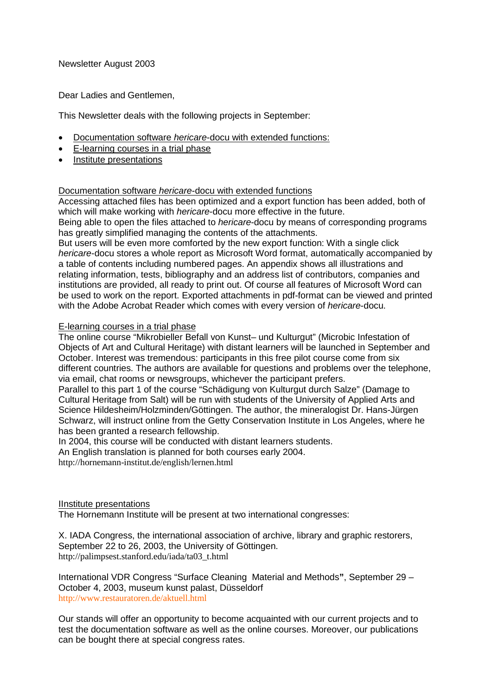Newsletter August 2003

Dear Ladies and Gentlemen,

This Newsletter deals with the following projects in September:

- Documentation software *hericare*-docu with extended functions:
- E-learning courses in a trial phase
- Institute presentations

## Documentation software *hericare*-docu with extended functions

Accessing attached files has been optimized and a export function has been added, both of which will make working with *hericare*-docu more effective in the future.

Being able to open the files attached to *hericare*-docu by means of corresponding programs has greatly simplified managing the contents of the attachments.

But users will be even more comforted by the new export function: With a single click *hericare*-docu stores a whole report as Microsoft Word format, automatically accompanied by a table of contents including numbered pages. An appendix shows all illustrations and relating information, tests, bibliography and an address list of contributors, companies and institutions are provided, all ready to print out. Of course all features of Microsoft Word can be used to work on the report. Exported attachments in pdf-format can be viewed and printed with the Adobe Acrobat Reader which comes with every version of *hericare*-docu.

## E-learning courses in a trial phase

The online course "Mikrobieller Befall von Kunst– und Kulturgut" (Microbic Infestation of Objects of Art and Cultural Heritage) with distant learners will be launched in September and October. Interest was tremendous: participants in this free pilot course come from six different countries. The authors are available for questions and problems over the telephone, via email, chat rooms or newsgroups, whichever the participant prefers.

Parallel to this part 1 of the course "Schädigung von Kulturgut durch Salze" (Damage to Cultural Heritage from Salt) will be run with students of the University of Applied Arts and Science Hildesheim/Holzminden/Göttingen. The author, the mineralogist Dr. Hans-Jürgen Schwarz, will instruct online from the Getty Conservation Institute in Los Angeles, where he has been granted a research fellowship.

In 2004, this course will be conducted with distant learners students.

An English translation is planned for both courses early 2004.

http://hornemann-institut.de/english/lernen.html

## IInstitute presentations

The Hornemann Institute will be present at two international congresses:

X. IADA Congress, the international association of archive, library and graphic restorers, September 22 to 26, 2003, the University of Göttingen. http://palimpsest.stanford.edu/iada/ta03\_t.html

International VDR Congress "Surface Cleaning Material and Methods**"**, September 29 – October 4, 2003, museum kunst palast, Düsseldorf http://www.restauratoren.de/aktuell.html

Our stands will offer an opportunity to become acquainted with our current projects and to test the documentation software as well as the online courses. Moreover, our publications can be bought there at special congress rates.